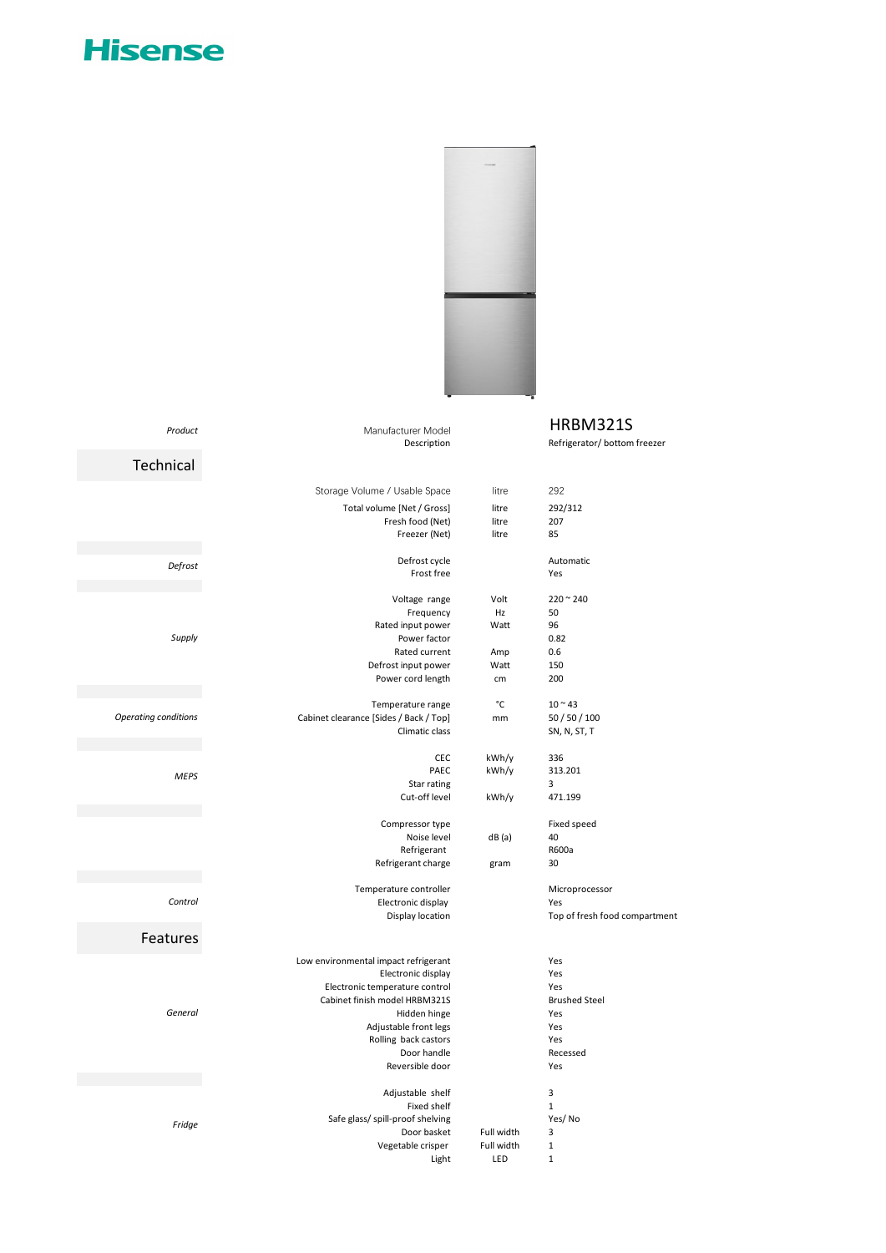## **Hisense**



## Manufacturer Model **HRBM321S**

| Product              | Manufacturer Model                              |            | HRBM321S                      |
|----------------------|-------------------------------------------------|------------|-------------------------------|
|                      | Description                                     |            | Refrigerator/ bottom freezer  |
| Technical            |                                                 |            |                               |
|                      | Storage Volume / Usable Space                   | litre      | 292                           |
|                      | Total volume [Net / Gross]                      | litre      | 292/312                       |
|                      | Fresh food (Net)                                | litre      | 207                           |
|                      | Freezer (Net)                                   | litre      | 85                            |
|                      | Defrost cycle                                   |            | Automatic                     |
| Defrost              | Frost free                                      |            | Yes                           |
|                      | Voltage range                                   | Volt       | $220 - 240$                   |
|                      | Frequency                                       | Hz         | 50                            |
|                      | Rated input power                               | Watt       | 96                            |
| Supply               | Power factor                                    |            | 0.82                          |
|                      | Rated current                                   | Amp        | 0.6                           |
|                      | Defrost input power                             | Watt       | 150                           |
|                      | Power cord length                               | cm         | 200                           |
|                      | Temperature range                               | °C         | $10 - 43$                     |
| Operating conditions | Cabinet clearance [Sides / Back / Top]          | mm         | 50 / 50 / 100                 |
|                      | Climatic class                                  |            | SN, N, ST, T                  |
|                      | <b>CEC</b>                                      | kWh/y      | 336                           |
| <b>MEPS</b>          | PAEC                                            | kWh/y      | 313.201                       |
|                      | Star rating                                     |            | 3                             |
|                      | Cut-off level                                   | kWh/y      | 471.199                       |
|                      | Compressor type                                 |            | Fixed speed                   |
|                      | Noise level                                     | dB(a)      | 40                            |
|                      | Refrigerant                                     |            | R600a                         |
|                      | Refrigerant charge                              | gram       | 30                            |
|                      | Temperature controller                          |            | Microprocessor                |
| Control              | Electronic display                              |            | Yes                           |
|                      | Display location                                |            | Top of fresh food compartment |
| Features             |                                                 |            |                               |
|                      | Low environmental impact refrigerant            |            | Yes                           |
|                      | Electronic display                              |            | Yes                           |
|                      | Electronic temperature control                  |            | Yes                           |
|                      | Cabinet finish model HRBM321S                   |            | <b>Brushed Steel</b>          |
| General              | Hidden hinge                                    |            | Yes                           |
|                      | Adjustable front legs                           |            | Yes                           |
|                      | Rolling back castors                            |            | Yes                           |
|                      | Door handle<br>Reversible door                  |            | Recessed                      |
|                      |                                                 |            | Yes                           |
|                      | Adjustable shelf                                |            | 3                             |
|                      | Fixed shelf                                     |            | $\mathbf{1}$                  |
| Fridge               | Safe glass/ spill-proof shelving<br>Door basket | Full width | Yes/No<br>3                   |
|                      | Vegetable crisper                               | Full width | $\mathbf 1$                   |
|                      | Light                                           | LED        | $\mathbf{1}$                  |
|                      |                                                 |            |                               |